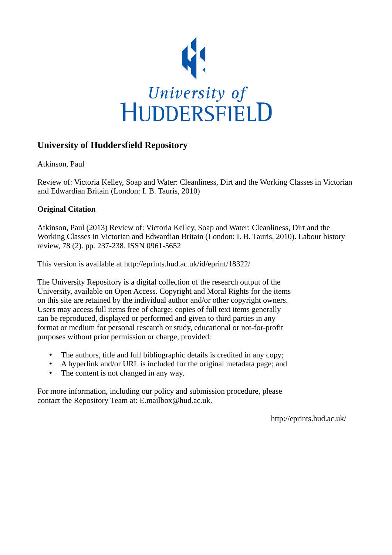

## **University of Huddersfield Repository**

Atkinson, Paul

Review of: Victoria Kelley, Soap and Water: Cleanliness, Dirt and the Working Classes in Victorian and Edwardian Britain (London: I. B. Tauris, 2010)

## **Original Citation**

Atkinson, Paul (2013) Review of: Victoria Kelley, Soap and Water: Cleanliness, Dirt and the Working Classes in Victorian and Edwardian Britain (London: I. B. Tauris, 2010). Labour history review, 78 (2). pp. 237-238. ISSN 0961-5652

This version is available at http://eprints.hud.ac.uk/id/eprint/18322/

The University Repository is a digital collection of the research output of the University, available on Open Access. Copyright and Moral Rights for the items on this site are retained by the individual author and/or other copyright owners. Users may access full items free of charge; copies of full text items generally can be reproduced, displayed or performed and given to third parties in any format or medium for personal research or study, educational or not-for-profit purposes without prior permission or charge, provided:

- The authors, title and full bibliographic details is credited in any copy;
- A hyperlink and/or URL is included for the original metadata page; and
- The content is not changed in any way.

For more information, including our policy and submission procedure, please contact the Repository Team at: E.mailbox@hud.ac.uk.

http://eprints.hud.ac.uk/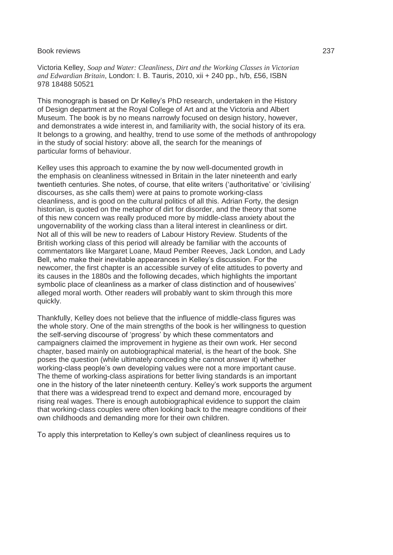## Book reviews 237

Victoria Kelley, *Soap and Water: Cleanliness, Dirt and the Working Classes in Victorian and Edwardian Britain*, London: I. B. Tauris, 2010, xii + 240 pp., h/b, £56, ISBN 978 18488 50521

This monograph is based on Dr Kelley's PhD research, undertaken in the History of Design department at the Royal College of Art and at the Victoria and Albert Museum. The book is by no means narrowly focused on design history, however, and demonstrates a wide interest in, and familiarity with, the social history of its era. It belongs to a growing, and healthy, trend to use some of the methods of anthropology in the study of social history: above all, the search for the meanings of particular forms of behaviour.

Kelley uses this approach to examine the by now well-documented growth in the emphasis on cleanliness witnessed in Britain in the later nineteenth and early twentieth centuries. She notes, of course, that elite writers ('authoritative' or 'civilising' discourses, as she calls them) were at pains to promote working-class cleanliness, and is good on the cultural politics of all this. Adrian Forty, the design historian, is quoted on the metaphor of dirt for disorder, and the theory that some of this new concern was really produced more by middle-class anxiety about the ungovernability of the working class than a literal interest in cleanliness or dirt. Not all of this will be new to readers of Labour History Review. Students of the British working class of this period will already be familiar with the accounts of commentators like Margaret Loane, Maud Pember Reeves, Jack London, and Lady Bell, who make their inevitable appearances in Kelley's discussion. For the newcomer, the first chapter is an accessible survey of elite attitudes to poverty and its causes in the 1880s and the following decades, which highlights the important symbolic place of cleanliness as a marker of class distinction and of housewives' alleged moral worth. Other readers will probably want to skim through this more quickly.

Thankfully, Kelley does not believe that the influence of middle-class figures was the whole story. One of the main strengths of the book is her willingness to question the self-serving discourse of 'progress' by which these commentators and campaigners claimed the improvement in hygiene as their own work. Her second chapter, based mainly on autobiographical material, is the heart of the book. She poses the question (while ultimately conceding she cannot answer it) whether working-class people's own developing values were not a more important cause. The theme of working-class aspirations for better living standards is an important one in the history of the later nineteenth century. Kelley's work supports the argument that there was a widespread trend to expect and demand more, encouraged by rising real wages. There is enough autobiographical evidence to support the claim that working-class couples were often looking back to the meagre conditions of their own childhoods and demanding more for their own children.

To apply this interpretation to Kelley's own subject of cleanliness requires us to